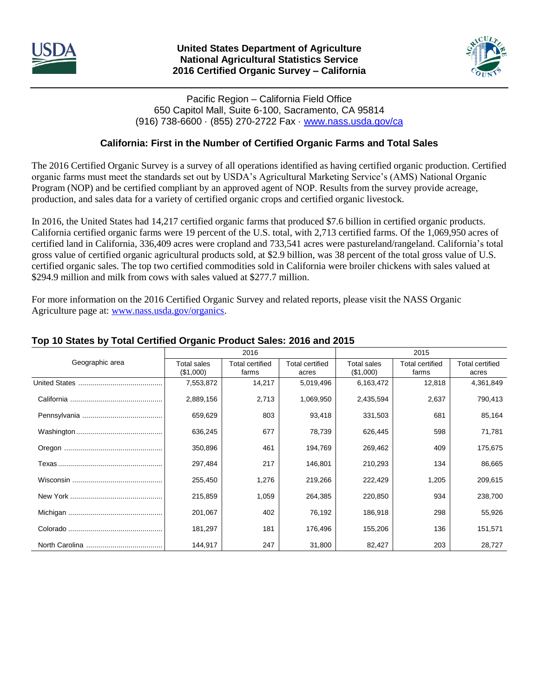



## Pacific Region – California Field Office 650 Capitol Mall, Suite 6-100, Sacramento, CA 95814 (916) 738-6600 · (855) 270-2722 Fax · [www.nass.usda.gov/ca](http://www.nass.usda.gov/ca)

# **California: First in the Number of Certified Organic Farms and Total Sales**

The 2016 Certified Organic Survey is a survey of all operations identified as having certified organic production. Certified organic farms must meet the standards set out by USDA's Agricultural Marketing Service's (AMS) National Organic Program (NOP) and be certified compliant by an approved agent of NOP. Results from the survey provide acreage, production, and sales data for a variety of certified organic crops and certified organic livestock.

In 2016, the United States had 14,217 certified organic farms that produced \$7.6 billion in certified organic products. California certified organic farms were 19 percent of the U.S. total, with 2,713 certified farms. Of the 1,069,950 acres of certified land in California, 336,409 acres were cropland and 733,541 acres were pastureland/rangeland. California's total gross value of certified organic agricultural products sold, at \$2.9 billion, was 38 percent of the total gross value of U.S. certified organic sales. The top two certified commodities sold in California were broiler chickens with sales valued at \$294.9 million and milk from cows with sales valued at \$277.7 million.

For more information on the 2016 Certified Organic Survey and related reports, please visit the NASS Organic Agriculture page at: [www.nass.usda.gov/organics.](http://www.nass.usda.gov/organics)

|                 |                          | 2016                            |                          |                                 | 2015                            |                                 |
|-----------------|--------------------------|---------------------------------|--------------------------|---------------------------------|---------------------------------|---------------------------------|
| Geographic area | Total sales<br>(\$1,000) | <b>Total certified</b><br>farms | Total certified<br>acres | <b>Total sales</b><br>(\$1,000) | <b>Total certified</b><br>farms | <b>Total certified</b><br>acres |
|                 | 7,553,872                | 14,217                          | 5,019,496                | 6,163,472                       | 12,818                          | 4,361,849                       |
|                 | 2,889,156                | 2,713                           | 1,069,950                | 2,435,594                       | 2,637                           | 790,413                         |
|                 | 659,629                  | 803                             | 93,418                   | 331,503                         | 681                             | 85,164                          |
|                 | 636,245                  | 677                             | 78,739                   | 626,445                         | 598                             | 71,781                          |
|                 | 350,896                  | 461                             | 194,769                  | 269,462                         | 409                             | 175,675                         |
|                 | 297,484                  | 217                             | 146,801                  | 210,293                         | 134                             | 86,665                          |
|                 | 255,450                  | 1,276                           | 219,266                  | 222,429                         | 1,205                           | 209,615                         |
|                 | 215,859                  | 1,059                           | 264,385                  | 220,850                         | 934                             | 238,700                         |
|                 | 201,067                  | 402                             | 76,192                   | 186,918                         | 298                             | 55,926                          |
|                 | 181,297                  | 181                             | 176,496                  | 155,206                         | 136                             | 151,571                         |
|                 | 144,917                  | 247                             | 31,800                   | 82,427                          | 203                             | 28,727                          |

## **Top 10 States by Total Certified Organic Product Sales: 2016 and 2015**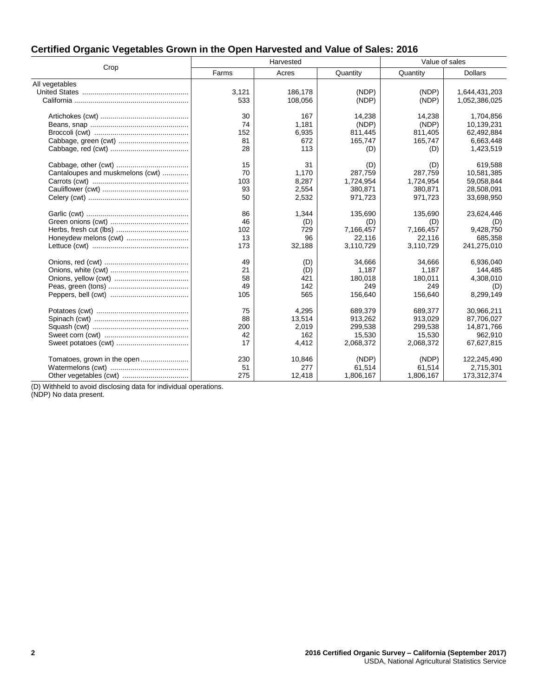| Certified Organic Vegetables Grown in the Open Harvested and Value of Sales: 2016 |
|-----------------------------------------------------------------------------------|
|-----------------------------------------------------------------------------------|

|                                  |       | Harvested |           | Value of sales |                |  |
|----------------------------------|-------|-----------|-----------|----------------|----------------|--|
| Crop                             | Farms | Acres     | Quantity  | Quantity       | <b>Dollars</b> |  |
| All vegetables                   |       |           |           |                |                |  |
|                                  | 3,121 | 186,178   | (NDP)     | (NDP)          | 1,644,431,203  |  |
|                                  | 533   | 108,056   | (NDP)     | (NDP)          | 1,052,386,025  |  |
|                                  | 30    | 167       | 14,238    | 14,238         | 1,704,856      |  |
|                                  | 74    | 1,181     | (NDP)     | (NDP)          | 10,139,231     |  |
|                                  | 152   | 6,935     | 811,445   | 811,405        | 62,492,884     |  |
|                                  | 81    | 672       | 165,747   | 165,747        | 6,663,448      |  |
|                                  | 28    | 113       | (D)       | (D)            | 1,423,519      |  |
|                                  | 15    | 31        | (D)       | (D)            | 619,588        |  |
| Cantaloupes and muskmelons (cwt) | 70    | 1.170     | 287,759   | 287,759        | 10,581,385     |  |
|                                  | 103   | 8,287     | 1,724,954 | 1,724,954      | 59,058,844     |  |
|                                  | 93    | 2,554     | 380,871   | 380,871        | 28,508,091     |  |
|                                  | 50    | 2,532     | 971,723   | 971,723        | 33,698,950     |  |
|                                  | 86    | 1,344     | 135,690   | 135,690        | 23,624,446     |  |
|                                  | 46    | (D)       | (D)       | (D)            | (D)            |  |
|                                  | 102   | 729       | 7,166,457 | 7,166,457      | 9,428,750      |  |
|                                  | 13    | 96        | 22,116    | 22,116         | 685,358        |  |
|                                  | 173   | 32,188    | 3,110,729 | 3,110,729      | 241,275,010    |  |
|                                  | 49    | (D)       | 34.666    | 34.666         | 6.936.040      |  |
|                                  | 21    | (D)       | 1,187     | 1,187          | 144,485        |  |
|                                  | 58    | 421       | 180,018   | 180,011        | 4,308,010      |  |
|                                  | 49    | 142       | 249       | 249            | (D)            |  |
|                                  | 105   | 565       | 156,640   | 156,640        | 8,299,149      |  |
|                                  | 75    | 4,295     | 689,379   | 689,377        | 30,966,211     |  |
|                                  | 88    | 13,514    | 913,262   | 913,029        | 87,706,027     |  |
|                                  | 200   | 2,019     | 299,538   | 299,538        | 14,871,766     |  |
|                                  | 42    | 162       | 15,530    | 15,530         | 962,910        |  |
|                                  | 17    | 4,412     | 2,068,372 | 2,068,372      | 67,627,815     |  |
| Tomatoes, grown in the open      | 230   | 10,846    | (NDP)     | (NDP)          | 122,245,490    |  |
|                                  | 51    | 277       | 61,514    | 61,514         | 2,715,301      |  |
| Other vegetables (cwt)           | 275   | 12,418    | 1,806,167 | 1,806,167      | 173,312,374    |  |

(D) Withheld to avoid disclosing data for individual operations.

(NDP) No data present.

J.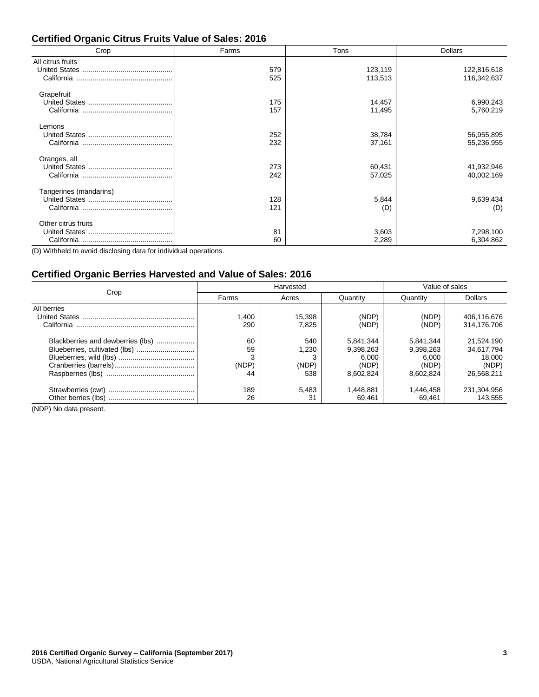## **Certified Organic Citrus Fruits Value of Sales: 2016**

| Crop                   | Farms | Tons    | <b>Dollars</b> |
|------------------------|-------|---------|----------------|
| All citrus fruits      |       |         |                |
|                        | 579   | 123,119 | 122,816,618    |
| California             | 525   | 113,513 | 116,342,637    |
| Grapefruit             |       |         |                |
|                        | 175   | 14,457  | 6,990,243      |
|                        | 157   | 11,495  | 5,760,219      |
| Lemons                 |       |         |                |
|                        | 252   | 38,784  | 56,955,895     |
|                        | 232   | 37,161  | 55,236,955     |
| Oranges, all           |       |         |                |
|                        | 273   | 60,431  | 41,932,946     |
|                        | 242   | 57,025  | 40,002,169     |
| Tangerines (mandarins) |       |         |                |
|                        | 128   | 5,844   | 9,639,434      |
|                        | 121   | (D)     | (D)            |
| Other citrus fruits    |       |         |                |
|                        | 81    | 3,603   | 7,298,100      |
|                        | 60    | 2,289   | 6,304,862      |

(D) Withheld to avoid disclosing data for individual operations.

## **Certified Organic Berries Harvested and Value of Sales: 2016**

|                                   |       | Harvested | Value of sales |           |                |
|-----------------------------------|-------|-----------|----------------|-----------|----------------|
| Crop                              | Farms | Acres     | Quantity       | Quantity  | <b>Dollars</b> |
| All berries                       | ,400  | 15,398    | (NDP)          | (NDP)     | 406,116,676    |
| California                        | 290   | 7.825     | (NDP)          | (NDP)     | 314.176.706    |
| Blackberries and dewberries (lbs) | 60    | 540       | 5,841,344      | 5,841,344 | 21,524,190     |
| Blueberries, cultivated (lbs)     | 59    | 1.230     | 9,398,263      | 9,398,263 | 34,617,794     |
|                                   |       |           | 6.000          | 6.000     | 18.000         |
|                                   | (NDP) | (NDP)     | (NDP)          | (NDP)     | (NDP)          |
|                                   | 44    | 538       | 8.602.824      | 8.602.824 | 26.568.211     |
|                                   | 189   | 5.483     | 1,448,881      | 1,446,458 | 231,304,956    |
|                                   | 26    | 31        | 69.461         | 69.461    | 143.555        |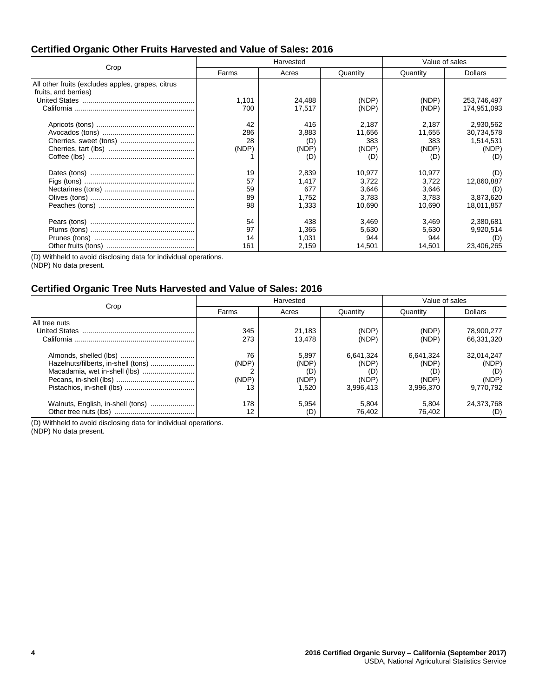### **Certified Organic Other Fruits Harvested and Value of Sales: 2016**

|                                                   | Harvested |        |          | Value of sales |                |  |
|---------------------------------------------------|-----------|--------|----------|----------------|----------------|--|
| Crop                                              | Farms     | Acres  | Quantity | Quantity       | <b>Dollars</b> |  |
| All other fruits (excludes apples, grapes, citrus |           |        |          |                |                |  |
| fruits, and berries)                              |           |        |          |                |                |  |
|                                                   | 1,101     | 24,488 | (NDP)    | (NDP)          | 253,746,497    |  |
|                                                   | 700       | 17,517 | (NDP)    | (NDP)          | 174,951,093    |  |
|                                                   | 42        | 416    | 2,187    | 2,187          | 2,930,562      |  |
|                                                   | 286       | 3,883  | 11,656   | 11,655         | 30,734,578     |  |
|                                                   | 28        | (D)    | 383      | 383            | 1,514,531      |  |
|                                                   | (NDP)     | (NDP)  | (NDP)    | (NDP)          | (NDP)          |  |
|                                                   |           | (D)    | (D)      | (D)            | (D)            |  |
|                                                   | 19        | 2,839  | 10.977   | 10.977         | (D)            |  |
|                                                   | 57        | 1.417  | 3,722    | 3.722          | 12,860,887     |  |
|                                                   | 59        | 677    | 3,646    | 3.646          | (D)            |  |
|                                                   | 89        | 1.752  | 3.783    | 3.783          | 3,873,620      |  |
|                                                   | 98        | 1,333  | 10,690   | 10,690         | 18,011,857     |  |
|                                                   | 54        | 438    | 3,469    | 3,469          | 2,380,681      |  |
|                                                   | 97        | 1,365  | 5,630    | 5,630          | 9,920,514      |  |
|                                                   | 14        | 1,031  | 944      | 944            | (D)            |  |
|                                                   | 161       | 2,159  | 14,501   | 14,501         | 23,406,265     |  |

(D) Withheld to avoid disclosing data for individual operations.

(NDP) No data present.

## **Certified Organic Tree Nuts Harvested and Value of Sales: 2016**

|                                                                      |                            | Harvested                               | Value of sales                                  |                                                 |                                           |
|----------------------------------------------------------------------|----------------------------|-----------------------------------------|-------------------------------------------------|-------------------------------------------------|-------------------------------------------|
| Crop                                                                 | Farms                      | Acres                                   | Quantity                                        | Quantity                                        | <b>Dollars</b>                            |
| All tree nuts                                                        | 345<br>273                 | 21.183<br>13.478                        | (NDP)<br>(NDP)                                  | (NDP)<br>(NDP)                                  | 78,900,277<br>66.331.320                  |
| Hazelnuts/filberts, in-shell (tons)<br>Macadamia, wet in-shell (lbs) | 76<br>(NDP)<br>(NDP)<br>13 | 5.897<br>(NDP)<br>(D)<br>(NDP)<br>1.520 | 6.641.324<br>(NDP)<br>(D)<br>(NDP)<br>3.996.413 | 6,641,324<br>(NDP)<br>(D)<br>(NDP)<br>3.996.370 | 32.014.247<br>(NDP)<br>(NDP)<br>9,770,792 |
| Walnuts, English, in-shell (tons)                                    | 178<br>12                  | 5.954<br>(D)                            | 5.804<br>76.402                                 | 5.804<br>76.402                                 | 24.373.768<br>(D)                         |

(D) Withheld to avoid disclosing data for individual operations.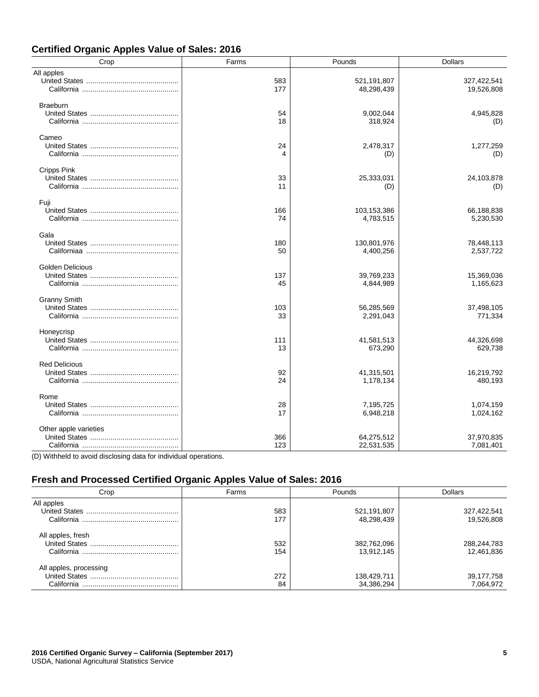| <b>Certified Organic Apples Value of Sales: 2016</b> |  |  |  |  |  |  |
|------------------------------------------------------|--|--|--|--|--|--|
|------------------------------------------------------|--|--|--|--|--|--|

| Crop                    | Farms      | Pounds                    | <b>Dollars</b>            |
|-------------------------|------------|---------------------------|---------------------------|
| All apples              | 583<br>177 | 521,191,807<br>48,298,439 | 327,422,541<br>19,526,808 |
| <b>Braeburn</b>         | 54<br>18   | 9,002,044<br>318,924      | 4,945,828<br>(D)          |
| Cameo                   | 24<br>4    | 2,478,317<br>(D)          | 1,277,259<br>(D)          |
| Cripps Pink             | 33<br>11   | 25,333,031<br>(D)         | 24,103,878<br>(D)         |
| Fuji                    | 166<br>74  | 103,153,386<br>4,783,515  | 66,188,838<br>5,230,530   |
| Gala                    | 180<br>50  | 130,801,976<br>4,400,256  | 78,448,113<br>2,537,722   |
| <b>Golden Delicious</b> | 137<br>45  | 39,769,233<br>4,844,989   | 15,369,036<br>1,165,623   |
| <b>Granny Smith</b>     | 103<br>33  | 56,285,569<br>2,291,043   | 37,498,105<br>771,334     |
| Honeycrisp              | 111<br>13  | 41,581,513<br>673,290     | 44,326,698<br>629,738     |
| <b>Red Delicious</b>    | 92<br>24   | 41,315,501<br>1,178,134   | 16,219,792<br>480,193     |
| Rome                    | 28<br>17   | 7,195,725<br>6,948,218    | 1,074,159<br>1,024,162    |
| Other apple varieties   | 366<br>123 | 64,275,512<br>22,531,535  | 37,970,835<br>7,081,401   |

(D) Withheld to avoid disclosing data for individual operations.

# **Fresh and Processed Certified Organic Apples Value of Sales: 2016**

| Crop                   | Farms | Pounds      | <b>Dollars</b> |
|------------------------|-------|-------------|----------------|
| All apples             |       |             |                |
| <b>United States</b>   | 583   | 521,191,807 | 327,422,541    |
| California             | 177   | 48,298,439  | 19,526,808     |
| All apples, fresh      |       |             |                |
| United States          | 532   | 382,762,096 | 288,244,783    |
|                        | 154   | 13,912,145  | 12,461,836     |
| All apples, processing |       |             |                |
| United States          | 272   | 138,429,711 | 39,177,758     |
| California             | 84    | 34,386,294  | 7,064,972      |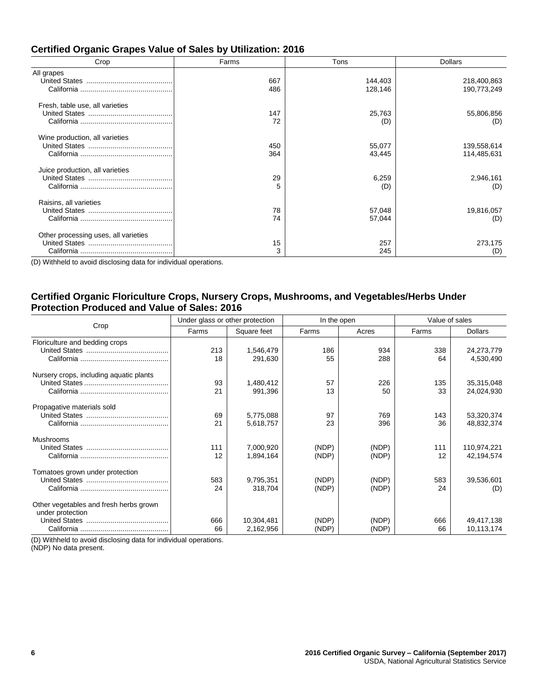| Crop                                 | Farms | Tons    | <b>Dollars</b> |
|--------------------------------------|-------|---------|----------------|
| All grapes                           |       |         |                |
|                                      | 667   | 144,403 | 218,400,863    |
|                                      | 486   | 128,146 | 190,773,249    |
| Fresh, table use, all varieties      |       |         |                |
|                                      | 147   | 25,763  | 55,806,856     |
|                                      | 72    | (D)     | (D)            |
| Wine production, all varieties       |       |         |                |
|                                      | 450   | 55,077  | 139,558,614    |
|                                      | 364   | 43,445  | 114,485,631    |
| Juice production, all varieties      |       |         |                |
|                                      | 29    | 6,259   | 2,946,161      |
|                                      | 5     | (D)     | (D)            |
| Raisins, all varieties               |       |         |                |
|                                      | 78    | 57,048  | 19,816,057     |
|                                      | 74    | 57,044  | (D)            |
| Other processing uses, all varieties |       |         |                |
|                                      | 15    | 257     | 273,175        |
|                                      | 3     | 245     | (D)            |

#### **Certified Organic Grapes Value of Sales by Utilization: 2016**

(D) Withheld to avoid disclosing data for individual operations.

#### **Certified Organic Floriculture Crops, Nursery Crops, Mushrooms, and Vegetables/Herbs Under Protection Produced and Value of Sales: 2016**

| Crop                                                       | Under glass or other protection |                         | In the open    |                | Value of sales |                           |
|------------------------------------------------------------|---------------------------------|-------------------------|----------------|----------------|----------------|---------------------------|
|                                                            | Farms                           | Square feet             | Farms          | Acres          | Farms          | <b>Dollars</b>            |
| Floriculture and bedding crops                             | 213<br>18                       | 1,546,479<br>291.630    | 186<br>55      | 934<br>288     | 338<br>64      | 24,273,779<br>4,530,490   |
| Nursery crops, including aquatic plants                    | 93<br>21                        | 1,480,412<br>991,396    | 57<br>13       | 226<br>50      | 135<br>33      | 35,315,048<br>24,024,930  |
| Propagative materials sold                                 | 69<br>21                        | 5,775,088<br>5,618,757  | 97<br>23       | 769<br>396     | 143<br>36      | 53,320,374<br>48,832,374  |
| Mushrooms                                                  | 111<br>12                       | 7,000,920<br>1,894,164  | (NDP)<br>(NDP) | (NDP)<br>(NDP) | 111<br>12      | 110,974,221<br>42,194,574 |
| Tomatoes grown under protection                            | 583<br>24                       | 9,795,351<br>318,704    | (NDP)<br>(NDP) | (NDP)<br>(NDP) | 583<br>24      | 39,536,601<br>(D)         |
| Other vegetables and fresh herbs grown<br>under protection | 666<br>66                       | 10,304,481<br>2,162,956 | (NDP)<br>(NDP) | (NDP)<br>(NDP) | 666<br>66      | 49,417,138<br>10,113,174  |

(D) Withheld to avoid disclosing data for individual operations.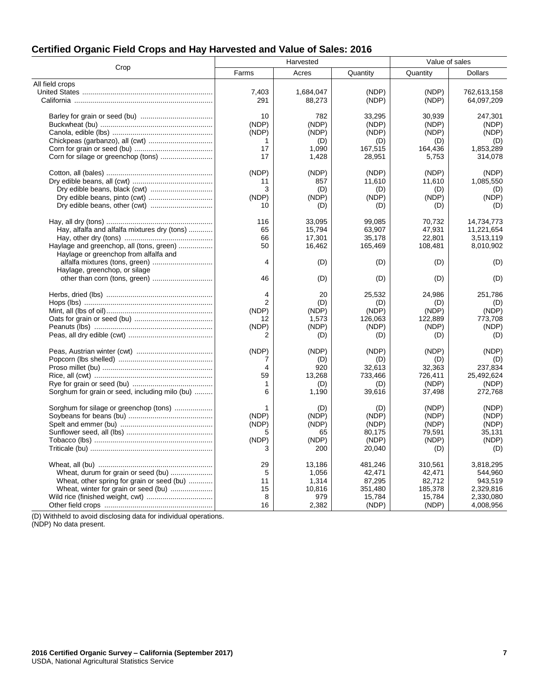| <b>Certified Organic Field Crops and Hay Harvested and Value of Sales: 2016</b> |  |  |  |  |
|---------------------------------------------------------------------------------|--|--|--|--|
|---------------------------------------------------------------------------------|--|--|--|--|

| Crop<br>Farms<br>Acres<br>Quantity<br>Quantity<br><b>Dollars</b><br>All field crops<br>7,403<br>1,684,047<br>(NDP)<br>(NDP)<br>762.613.158<br>291<br>88,273<br>(NDP)<br>(NDP)<br>64,097,209<br>10<br>782<br>33,295<br>30,939<br>247,301<br>(NDP)<br>(NDP)<br>(NDP)<br>(NDP)<br>(NDP)<br>(NDP)<br>(NDP)<br>(NDP)<br>(NDP)<br>(NDP)<br>(D)<br>(D)<br>(D)<br>(D)<br>1<br>17<br>1,090<br>167,515<br>164,436<br>1,853,289<br>17<br>1,428<br>28,951<br>5,753<br>314,078<br>(NDP)<br>(NDP)<br>(NDP)<br>(NDP)<br>(NDP)<br>11,610<br>11,610<br>1,085,550<br>857<br>11<br>3<br>(D)<br>(D)<br>(D)<br>(D)<br>(NDP)<br>(NDP)<br>(NDP)<br>(NDP)<br>(NDP)<br>10<br>(D)<br>(D)<br>(D)<br>(D)<br>116<br>33,095<br>99,085<br>70,732<br>14,734,773<br>Hay, alfalfa and alfalfa mixtures dry (tons)<br>65<br>15,794<br>63,907<br>47,931<br>11,221,654<br>66<br>17,301<br>35,178<br>22,801<br>3,513,119<br>Haylage and greenchop, all (tons, green)<br>50<br>8,010,902<br>16,462<br>165,469<br>108,481<br>Haylage or greenchop from alfalfa and<br>4<br>(D)<br>(D)<br>(D)<br>(D)<br>Haylage, greenchop, or silage<br>46<br>(D)<br>(D)<br>(D)<br>(D)<br>20<br>25,532<br>24,986<br>4<br>251,786<br>$\overline{2}$<br>(D)<br>(D)<br>(D)<br>(D)<br>(NDP)<br>(NDP)<br>(NDP)<br>(NDP)<br>(NDP)<br>122,889<br>773,708<br>1,573<br>126,063<br>12<br>(NDP)<br>(NDP)<br>(NDP)<br>(NDP)<br>(NDP) | Harvested |  |  | Value of sales |  |
|------------------------------------------------------------------------------------------------------------------------------------------------------------------------------------------------------------------------------------------------------------------------------------------------------------------------------------------------------------------------------------------------------------------------------------------------------------------------------------------------------------------------------------------------------------------------------------------------------------------------------------------------------------------------------------------------------------------------------------------------------------------------------------------------------------------------------------------------------------------------------------------------------------------------------------------------------------------------------------------------------------------------------------------------------------------------------------------------------------------------------------------------------------------------------------------------------------------------------------------------------------------------------------------------------------------------------------------------------------------|-----------|--|--|----------------|--|
|                                                                                                                                                                                                                                                                                                                                                                                                                                                                                                                                                                                                                                                                                                                                                                                                                                                                                                                                                                                                                                                                                                                                                                                                                                                                                                                                                                  |           |  |  |                |  |
|                                                                                                                                                                                                                                                                                                                                                                                                                                                                                                                                                                                                                                                                                                                                                                                                                                                                                                                                                                                                                                                                                                                                                                                                                                                                                                                                                                  |           |  |  |                |  |
|                                                                                                                                                                                                                                                                                                                                                                                                                                                                                                                                                                                                                                                                                                                                                                                                                                                                                                                                                                                                                                                                                                                                                                                                                                                                                                                                                                  |           |  |  |                |  |
|                                                                                                                                                                                                                                                                                                                                                                                                                                                                                                                                                                                                                                                                                                                                                                                                                                                                                                                                                                                                                                                                                                                                                                                                                                                                                                                                                                  |           |  |  |                |  |
|                                                                                                                                                                                                                                                                                                                                                                                                                                                                                                                                                                                                                                                                                                                                                                                                                                                                                                                                                                                                                                                                                                                                                                                                                                                                                                                                                                  |           |  |  |                |  |
|                                                                                                                                                                                                                                                                                                                                                                                                                                                                                                                                                                                                                                                                                                                                                                                                                                                                                                                                                                                                                                                                                                                                                                                                                                                                                                                                                                  |           |  |  |                |  |
|                                                                                                                                                                                                                                                                                                                                                                                                                                                                                                                                                                                                                                                                                                                                                                                                                                                                                                                                                                                                                                                                                                                                                                                                                                                                                                                                                                  |           |  |  |                |  |
|                                                                                                                                                                                                                                                                                                                                                                                                                                                                                                                                                                                                                                                                                                                                                                                                                                                                                                                                                                                                                                                                                                                                                                                                                                                                                                                                                                  |           |  |  |                |  |
|                                                                                                                                                                                                                                                                                                                                                                                                                                                                                                                                                                                                                                                                                                                                                                                                                                                                                                                                                                                                                                                                                                                                                                                                                                                                                                                                                                  |           |  |  |                |  |
|                                                                                                                                                                                                                                                                                                                                                                                                                                                                                                                                                                                                                                                                                                                                                                                                                                                                                                                                                                                                                                                                                                                                                                                                                                                                                                                                                                  |           |  |  |                |  |
|                                                                                                                                                                                                                                                                                                                                                                                                                                                                                                                                                                                                                                                                                                                                                                                                                                                                                                                                                                                                                                                                                                                                                                                                                                                                                                                                                                  |           |  |  |                |  |
|                                                                                                                                                                                                                                                                                                                                                                                                                                                                                                                                                                                                                                                                                                                                                                                                                                                                                                                                                                                                                                                                                                                                                                                                                                                                                                                                                                  |           |  |  |                |  |
|                                                                                                                                                                                                                                                                                                                                                                                                                                                                                                                                                                                                                                                                                                                                                                                                                                                                                                                                                                                                                                                                                                                                                                                                                                                                                                                                                                  |           |  |  |                |  |
|                                                                                                                                                                                                                                                                                                                                                                                                                                                                                                                                                                                                                                                                                                                                                                                                                                                                                                                                                                                                                                                                                                                                                                                                                                                                                                                                                                  |           |  |  |                |  |
|                                                                                                                                                                                                                                                                                                                                                                                                                                                                                                                                                                                                                                                                                                                                                                                                                                                                                                                                                                                                                                                                                                                                                                                                                                                                                                                                                                  |           |  |  |                |  |
|                                                                                                                                                                                                                                                                                                                                                                                                                                                                                                                                                                                                                                                                                                                                                                                                                                                                                                                                                                                                                                                                                                                                                                                                                                                                                                                                                                  |           |  |  |                |  |
|                                                                                                                                                                                                                                                                                                                                                                                                                                                                                                                                                                                                                                                                                                                                                                                                                                                                                                                                                                                                                                                                                                                                                                                                                                                                                                                                                                  |           |  |  |                |  |
|                                                                                                                                                                                                                                                                                                                                                                                                                                                                                                                                                                                                                                                                                                                                                                                                                                                                                                                                                                                                                                                                                                                                                                                                                                                                                                                                                                  |           |  |  |                |  |
|                                                                                                                                                                                                                                                                                                                                                                                                                                                                                                                                                                                                                                                                                                                                                                                                                                                                                                                                                                                                                                                                                                                                                                                                                                                                                                                                                                  |           |  |  |                |  |
|                                                                                                                                                                                                                                                                                                                                                                                                                                                                                                                                                                                                                                                                                                                                                                                                                                                                                                                                                                                                                                                                                                                                                                                                                                                                                                                                                                  |           |  |  |                |  |
|                                                                                                                                                                                                                                                                                                                                                                                                                                                                                                                                                                                                                                                                                                                                                                                                                                                                                                                                                                                                                                                                                                                                                                                                                                                                                                                                                                  |           |  |  |                |  |
|                                                                                                                                                                                                                                                                                                                                                                                                                                                                                                                                                                                                                                                                                                                                                                                                                                                                                                                                                                                                                                                                                                                                                                                                                                                                                                                                                                  |           |  |  |                |  |
|                                                                                                                                                                                                                                                                                                                                                                                                                                                                                                                                                                                                                                                                                                                                                                                                                                                                                                                                                                                                                                                                                                                                                                                                                                                                                                                                                                  |           |  |  |                |  |
|                                                                                                                                                                                                                                                                                                                                                                                                                                                                                                                                                                                                                                                                                                                                                                                                                                                                                                                                                                                                                                                                                                                                                                                                                                                                                                                                                                  |           |  |  |                |  |
|                                                                                                                                                                                                                                                                                                                                                                                                                                                                                                                                                                                                                                                                                                                                                                                                                                                                                                                                                                                                                                                                                                                                                                                                                                                                                                                                                                  |           |  |  |                |  |
|                                                                                                                                                                                                                                                                                                                                                                                                                                                                                                                                                                                                                                                                                                                                                                                                                                                                                                                                                                                                                                                                                                                                                                                                                                                                                                                                                                  |           |  |  |                |  |
|                                                                                                                                                                                                                                                                                                                                                                                                                                                                                                                                                                                                                                                                                                                                                                                                                                                                                                                                                                                                                                                                                                                                                                                                                                                                                                                                                                  |           |  |  |                |  |
|                                                                                                                                                                                                                                                                                                                                                                                                                                                                                                                                                                                                                                                                                                                                                                                                                                                                                                                                                                                                                                                                                                                                                                                                                                                                                                                                                                  |           |  |  |                |  |
|                                                                                                                                                                                                                                                                                                                                                                                                                                                                                                                                                                                                                                                                                                                                                                                                                                                                                                                                                                                                                                                                                                                                                                                                                                                                                                                                                                  |           |  |  |                |  |
| 2<br>(D)<br>(D)<br>(D)<br>(D)                                                                                                                                                                                                                                                                                                                                                                                                                                                                                                                                                                                                                                                                                                                                                                                                                                                                                                                                                                                                                                                                                                                                                                                                                                                                                                                                    |           |  |  |                |  |
| (NDP)<br>(NDP)<br>(NDP)<br>(NDP)<br>(NDP)                                                                                                                                                                                                                                                                                                                                                                                                                                                                                                                                                                                                                                                                                                                                                                                                                                                                                                                                                                                                                                                                                                                                                                                                                                                                                                                        |           |  |  |                |  |
| 7<br>(D)<br>(D)<br>(D)<br>(D)                                                                                                                                                                                                                                                                                                                                                                                                                                                                                                                                                                                                                                                                                                                                                                                                                                                                                                                                                                                                                                                                                                                                                                                                                                                                                                                                    |           |  |  |                |  |
| 4<br>920<br>32,613<br>237,834<br>32,363                                                                                                                                                                                                                                                                                                                                                                                                                                                                                                                                                                                                                                                                                                                                                                                                                                                                                                                                                                                                                                                                                                                                                                                                                                                                                                                          |           |  |  |                |  |
| 59<br>13,268<br>733,466<br>726.411<br>25,492,624                                                                                                                                                                                                                                                                                                                                                                                                                                                                                                                                                                                                                                                                                                                                                                                                                                                                                                                                                                                                                                                                                                                                                                                                                                                                                                                 |           |  |  |                |  |
| 1<br>(D)<br>(D)<br>(NDP)<br>(NDP)                                                                                                                                                                                                                                                                                                                                                                                                                                                                                                                                                                                                                                                                                                                                                                                                                                                                                                                                                                                                                                                                                                                                                                                                                                                                                                                                |           |  |  |                |  |
| Sorghum for grain or seed, including milo (bu)<br>6<br>1,190<br>39,616<br>37.498<br>272,768                                                                                                                                                                                                                                                                                                                                                                                                                                                                                                                                                                                                                                                                                                                                                                                                                                                                                                                                                                                                                                                                                                                                                                                                                                                                      |           |  |  |                |  |
| Sorghum for silage or greenchop (tons)<br>(D)<br>(NDP)<br>(NDP)<br>(D)<br>1                                                                                                                                                                                                                                                                                                                                                                                                                                                                                                                                                                                                                                                                                                                                                                                                                                                                                                                                                                                                                                                                                                                                                                                                                                                                                      |           |  |  |                |  |
| (NDP)<br>(NDP)<br>(NDP)<br>(NDP)<br>(NDP)                                                                                                                                                                                                                                                                                                                                                                                                                                                                                                                                                                                                                                                                                                                                                                                                                                                                                                                                                                                                                                                                                                                                                                                                                                                                                                                        |           |  |  |                |  |
| (NDP)<br>(NDP)<br>(NDP)<br>(NDP)<br>(NDP)                                                                                                                                                                                                                                                                                                                                                                                                                                                                                                                                                                                                                                                                                                                                                                                                                                                                                                                                                                                                                                                                                                                                                                                                                                                                                                                        |           |  |  |                |  |
| 80,175<br>79,591<br>35,131<br>5<br>65                                                                                                                                                                                                                                                                                                                                                                                                                                                                                                                                                                                                                                                                                                                                                                                                                                                                                                                                                                                                                                                                                                                                                                                                                                                                                                                            |           |  |  |                |  |
| (NDP)<br>(NDP)<br>(NDP)<br>(NDP)<br>(NDP)                                                                                                                                                                                                                                                                                                                                                                                                                                                                                                                                                                                                                                                                                                                                                                                                                                                                                                                                                                                                                                                                                                                                                                                                                                                                                                                        |           |  |  |                |  |
| 3<br>20,040<br>200<br>(D)<br>(D)                                                                                                                                                                                                                                                                                                                                                                                                                                                                                                                                                                                                                                                                                                                                                                                                                                                                                                                                                                                                                                                                                                                                                                                                                                                                                                                                 |           |  |  |                |  |
| 29<br>310,561<br>3,818,295<br>13,186<br>481,246                                                                                                                                                                                                                                                                                                                                                                                                                                                                                                                                                                                                                                                                                                                                                                                                                                                                                                                                                                                                                                                                                                                                                                                                                                                                                                                  |           |  |  |                |  |
| Wheat, durum for grain or seed (bu)<br>5<br>42,471<br>42,471<br>544,960<br>1,056                                                                                                                                                                                                                                                                                                                                                                                                                                                                                                                                                                                                                                                                                                                                                                                                                                                                                                                                                                                                                                                                                                                                                                                                                                                                                 |           |  |  |                |  |
| Wheat, other spring for grain or seed (bu)<br>87,295<br>11<br>1,314<br>82,712<br>943,519                                                                                                                                                                                                                                                                                                                                                                                                                                                                                                                                                                                                                                                                                                                                                                                                                                                                                                                                                                                                                                                                                                                                                                                                                                                                         |           |  |  |                |  |
| Wheat, winter for grain or seed (bu)<br>10,816<br>15<br>351,480<br>185,378<br>2,329,816                                                                                                                                                                                                                                                                                                                                                                                                                                                                                                                                                                                                                                                                                                                                                                                                                                                                                                                                                                                                                                                                                                                                                                                                                                                                          |           |  |  |                |  |
| 8<br>15,784<br>979<br>15,784<br>2,330,080                                                                                                                                                                                                                                                                                                                                                                                                                                                                                                                                                                                                                                                                                                                                                                                                                                                                                                                                                                                                                                                                                                                                                                                                                                                                                                                        |           |  |  |                |  |
| 16<br>2,382<br>(NDP)<br>(NDP)<br>4,008,956                                                                                                                                                                                                                                                                                                                                                                                                                                                                                                                                                                                                                                                                                                                                                                                                                                                                                                                                                                                                                                                                                                                                                                                                                                                                                                                       |           |  |  |                |  |

(D) Withheld to avoid disclosing data for individual operations.